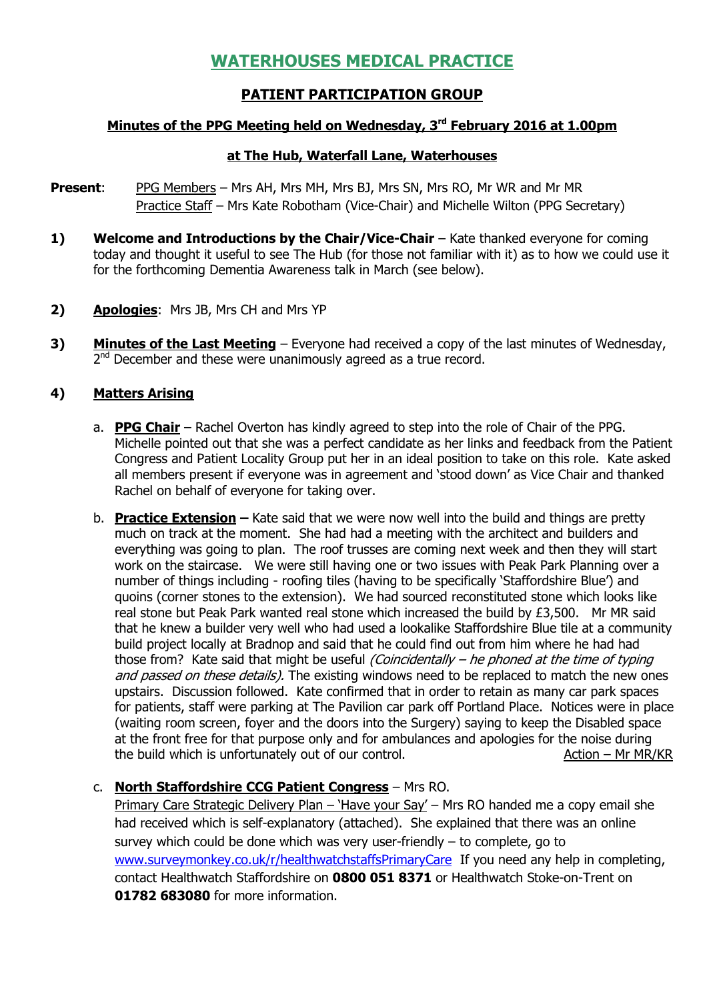# WATERHOUSES MEDICAL PRACTICE

## PATIENT PARTICIPATION GROUP

## Minutes of the PPG Meeting held on Wednesday, 3<sup>rd</sup> February 2016 at 1.00pm

### at The Hub, Waterfall Lane, Waterhouses

- **Present:** PPG Members Mrs AH, Mrs MH, Mrs BJ, Mrs SN, Mrs RO, Mr WR and Mr MR Practice Staff – Mrs Kate Robotham (Vice-Chair) and Michelle Wilton (PPG Secretary)
- 1) Welcome and Introductions by the Chair/Vice-Chair Kate thanked everyone for coming today and thought it useful to see The Hub (for those not familiar with it) as to how we could use it for the forthcoming Dementia Awareness talk in March (see below).
- 2) Apologies: Mrs JB, Mrs CH and Mrs YP
- 3) Minutes of the Last Meeting Everyone had received a copy of the last minutes of Wednesday, 2<sup>nd</sup> December and these were unanimously agreed as a true record.

## 4) Matters Arising

- a. **PPG Chair** Rachel Overton has kindly agreed to step into the role of Chair of the PPG. Michelle pointed out that she was a perfect candidate as her links and feedback from the Patient Congress and Patient Locality Group put her in an ideal position to take on this role. Kate asked all members present if everyone was in agreement and 'stood down' as Vice Chair and thanked Rachel on behalf of everyone for taking over.
- b. **Practice Extension** Kate said that we were now well into the build and things are pretty much on track at the moment. She had had a meeting with the architect and builders and everything was going to plan. The roof trusses are coming next week and then they will start work on the staircase. We were still having one or two issues with Peak Park Planning over a number of things including - roofing tiles (having to be specifically 'Staffordshire Blue') and quoins (corner stones to the extension). We had sourced reconstituted stone which looks like real stone but Peak Park wanted real stone which increased the build by £3,500. Mr MR said that he knew a builder very well who had used a lookalike Staffordshire Blue tile at a community build project locally at Bradnop and said that he could find out from him where he had had those from? Kate said that might be useful *(Coincidentally – he phoned at the time of typing* and passed on these details). The existing windows need to be replaced to match the new ones upstairs. Discussion followed. Kate confirmed that in order to retain as many car park spaces for patients, staff were parking at The Pavilion car park off Portland Place. Notices were in place (waiting room screen, foyer and the doors into the Surgery) saying to keep the Disabled space at the front free for that purpose only and for ambulances and apologies for the noise during the build which is unfortunately out of our control. Action – Mr MR/KR

## c. North Staffordshire CCG Patient Congress – Mrs RO.

Primary Care Strategic Delivery Plan – 'Have your Say' – Mrs RO handed me a copy email she had received which is self-explanatory (attached). She explained that there was an online survey which could be done which was very user-friendly – to complete, go to www.surveymonkey.co.uk/r/healthwatchstaffsPrimaryCare If you need any help in completing, contact Healthwatch Staffordshire on 0800 051 8371 or Healthwatch Stoke-on-Trent on 01782 683080 for more information.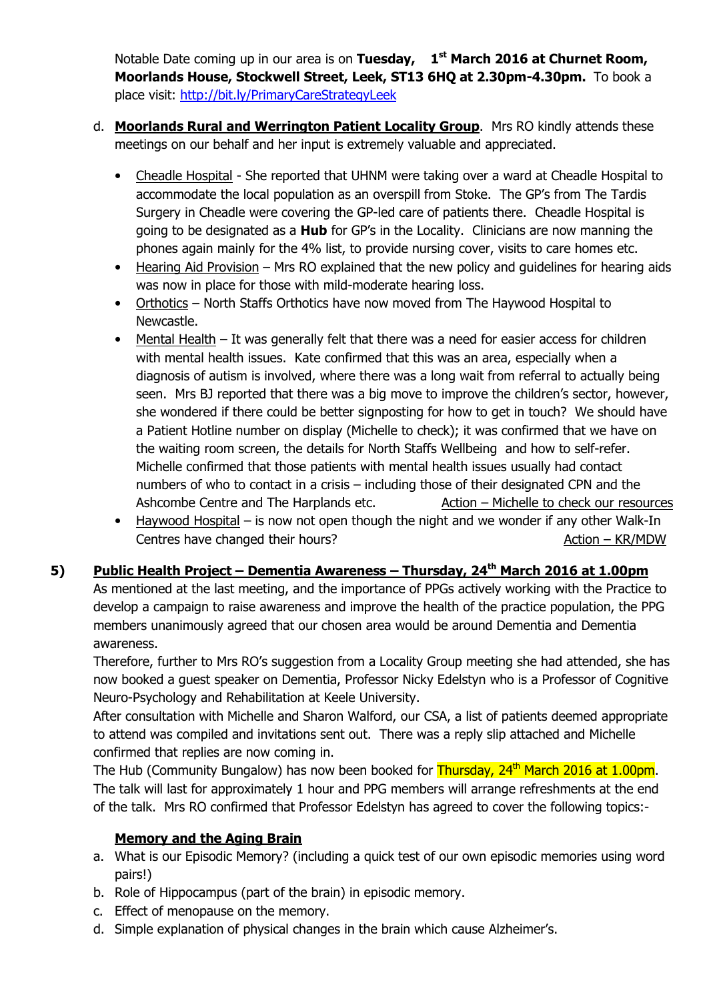Notable Date coming up in our area is on Tuesday,  $1<sup>st</sup>$  March 2016 at Churnet Room, Moorlands House, Stockwell Street, Leek, ST13 6HQ at 2.30pm-4.30pm. To book a place visit: http://bit.ly/PrimaryCareStrategyLeek

- d. Moorlands Rural and Werrington Patient Locality Group. Mrs RO kindly attends these meetings on our behalf and her input is extremely valuable and appreciated.
	- Cheadle Hospital She reported that UHNM were taking over a ward at Cheadle Hospital to accommodate the local population as an overspill from Stoke. The GP's from The Tardis Surgery in Cheadle were covering the GP-led care of patients there. Cheadle Hospital is going to be designated as a **Hub** for GP's in the Locality. Clinicians are now manning the phones again mainly for the 4% list, to provide nursing cover, visits to care homes etc.
	- Hearing Aid Provision Mrs RO explained that the new policy and quidelines for hearing aids was now in place for those with mild-moderate hearing loss.
	- Orthotics North Staffs Orthotics have now moved from The Haywood Hospital to Newcastle.
	- Mental Health It was generally felt that there was a need for easier access for children with mental health issues. Kate confirmed that this was an area, especially when a diagnosis of autism is involved, where there was a long wait from referral to actually being seen. Mrs BJ reported that there was a big move to improve the children's sector, however, she wondered if there could be better signposting for how to get in touch? We should have a Patient Hotline number on display (Michelle to check); it was confirmed that we have on the waiting room screen, the details for North Staffs Wellbeing and how to self-refer. Michelle confirmed that those patients with mental health issues usually had contact numbers of who to contact in a crisis – including those of their designated CPN and the Ashcombe Centre and The Harplands etc. Action – Michelle to check our resources
	- Haywood Hospital is now not open though the night and we wonder if any other Walk-In Centres have changed their hours? Centres have changed their hours?

## 5) Public Health Project – Dementia Awareness – Thursday,  $24<sup>th</sup>$  March 2016 at 1.00pm

As mentioned at the last meeting, and the importance of PPGs actively working with the Practice to develop a campaign to raise awareness and improve the health of the practice population, the PPG members unanimously agreed that our chosen area would be around Dementia and Dementia awareness.

Therefore, further to Mrs RO's suggestion from a Locality Group meeting she had attended, she has now booked a guest speaker on Dementia, Professor Nicky Edelstyn who is a Professor of Cognitive Neuro-Psychology and Rehabilitation at Keele University.

After consultation with Michelle and Sharon Walford, our CSA, a list of patients deemed appropriate to attend was compiled and invitations sent out. There was a reply slip attached and Michelle confirmed that replies are now coming in.

The Hub (Community Bungalow) has now been booked for Thursday, 24<sup>th</sup> March 2016 at 1.00pm. The talk will last for approximately 1 hour and PPG members will arrange refreshments at the end of the talk. Mrs RO confirmed that Professor Edelstyn has agreed to cover the following topics:-

## Memory and the Aging Brain

- a. What is our Episodic Memory? (including a quick test of our own episodic memories using word pairs!)
- b. Role of Hippocampus (part of the brain) in episodic memory.
- c. Effect of menopause on the memory.
- d. Simple explanation of physical changes in the brain which cause Alzheimer's.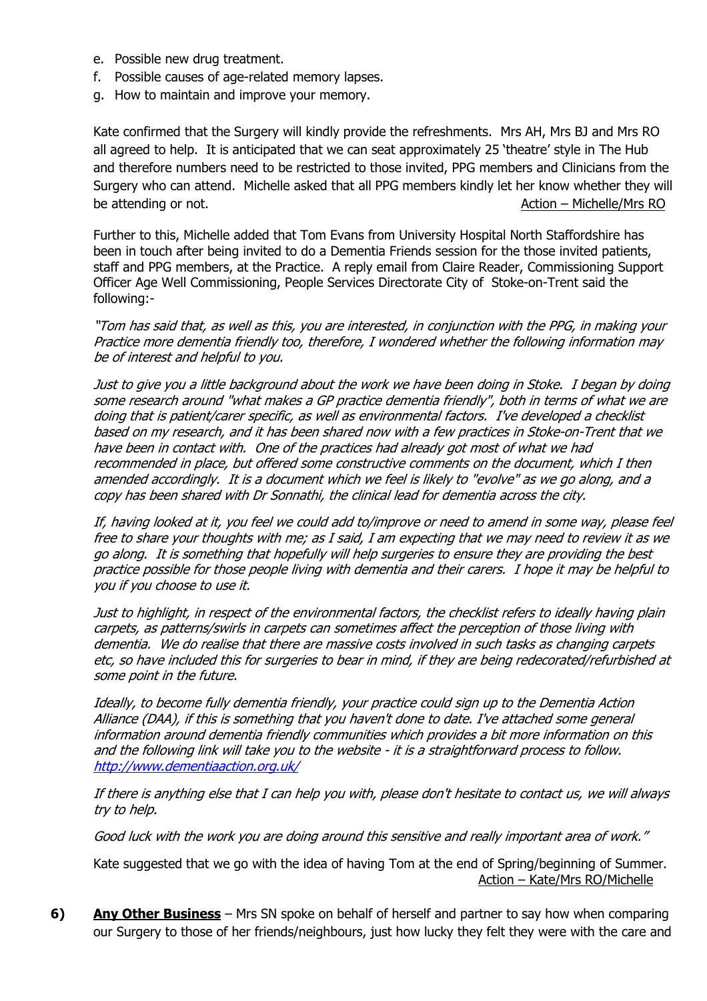- e. Possible new drug treatment.
- f. Possible causes of age-related memory lapses.
- g. How to maintain and improve your memory.

Kate confirmed that the Surgery will kindly provide the refreshments. Mrs AH, Mrs BJ and Mrs RO all agreed to help. It is anticipated that we can seat approximately 25 'theatre' style in The Hub and therefore numbers need to be restricted to those invited, PPG members and Clinicians from the Surgery who can attend. Michelle asked that all PPG members kindly let her know whether they will be attending or not. Action – Michelle/Mrs RO

Further to this, Michelle added that Tom Evans from University Hospital North Staffordshire has been in touch after being invited to do a Dementia Friends session for the those invited patients, staff and PPG members, at the Practice. A reply email from Claire Reader, Commissioning Support Officer Age Well Commissioning, People Services Directorate City of Stoke-on-Trent said the following:-

"Tom has said that, as well as this, you are interested, in conjunction with the PPG, in making your Practice more dementia friendly too, therefore, I wondered whether the following information may be of interest and helpful to you.

Just to give you a little background about the work we have been doing in Stoke. I began by doing some research around "what makes a GP practice dementia friendly", both in terms of what we are doing that is patient/carer specific, as well as environmental factors. I've developed a checklist based on my research, and it has been shared now with a few practices in Stoke-on-Trent that we have been in contact with. One of the practices had already got most of what we had recommended in place, but offered some constructive comments on the document, which I then amended accordingly. It is a document which we feel is likely to "evolve" as we go along, and a copy has been shared with Dr Sonnathi, the clinical lead for dementia across the city.

If, having looked at it, you feel we could add to/improve or need to amend in some way, please feel free to share your thoughts with me; as I said, I am expecting that we may need to review it as we go along. It is something that hopefully will help surgeries to ensure they are providing the best practice possible for those people living with dementia and their carers. I hope it may be helpful to you if you choose to use it.

Just to highlight, in respect of the environmental factors, the checklist refers to ideally having plain carpets, as patterns/swirls in carpets can sometimes affect the perception of those living with dementia. We do realise that there are massive costs involved in such tasks as changing carpets etc, so have included this for surgeries to bear in mind, if they are being redecorated/refurbished at some point in the future.

Ideally, to become fully dementia friendly, your practice could sign up to the Dementia Action Alliance (DAA), if this is something that you haven't done to date. I've attached some general information around dementia friendly communities which provides a bit more information on this and the following link will take you to the website - it is a straightforward process to follow. http://www.dementiaaction.org.uk/

If there is anything else that I can help you with, please don't hesitate to contact us, we will always try to help.

Good luck with the work you are doing around this sensitive and really important area of work."

Kate suggested that we go with the idea of having Tom at the end of Spring/beginning of Summer. Action – Kate/Mrs RO/Michelle

6) Any Other Business – Mrs SN spoke on behalf of herself and partner to say how when comparing our Surgery to those of her friends/neighbours, just how lucky they felt they were with the care and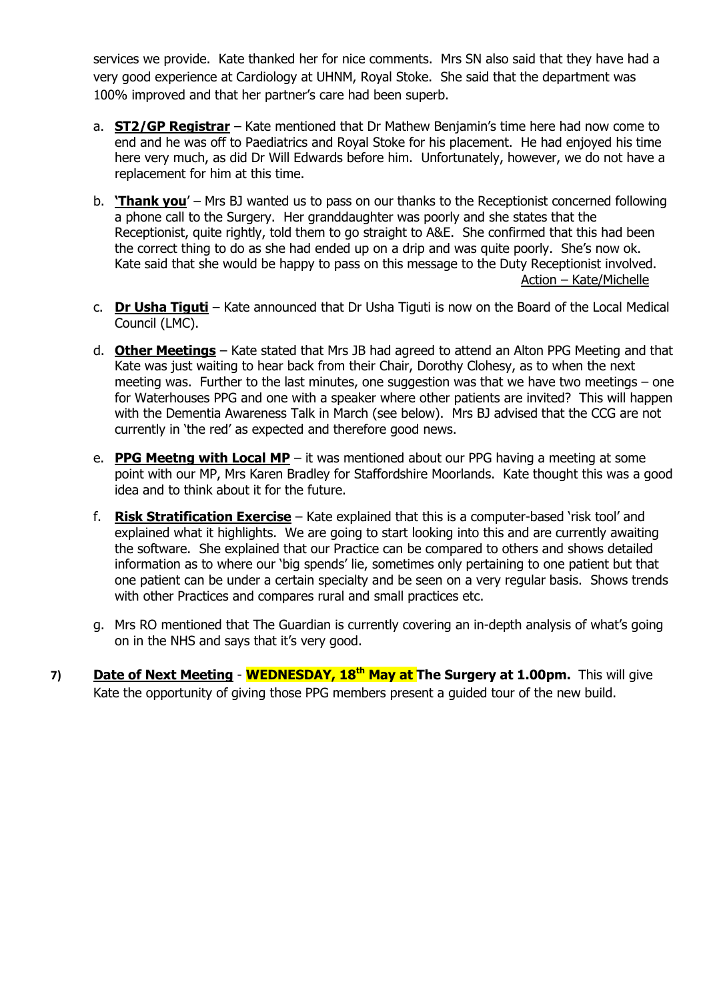services we provide. Kate thanked her for nice comments. Mrs SN also said that they have had a very good experience at Cardiology at UHNM, Royal Stoke. She said that the department was 100% improved and that her partner's care had been superb.

- a. **ST2/GP Registrar** Kate mentioned that Dr Mathew Benjamin's time here had now come to end and he was off to Paediatrics and Royal Stoke for his placement. He had enjoyed his time here very much, as did Dr Will Edwards before him. Unfortunately, however, we do not have a replacement for him at this time.
- b. **'Thank you'** Mrs BJ wanted us to pass on our thanks to the Receptionist concerned following a phone call to the Surgery. Her granddaughter was poorly and she states that the Receptionist, quite rightly, told them to go straight to A&E. She confirmed that this had been the correct thing to do as she had ended up on a drip and was quite poorly. She's now ok. Kate said that she would be happy to pass on this message to the Duty Receptionist involved. Action – Kate/Michelle
- c. **Dr Usha Tiguti** Kate announced that Dr Usha Tiguti is now on the Board of the Local Medical Council (LMC).
- d. **Other Meetings** Kate stated that Mrs JB had agreed to attend an Alton PPG Meeting and that Kate was just waiting to hear back from their Chair, Dorothy Clohesy, as to when the next meeting was. Further to the last minutes, one suggestion was that we have two meetings – one for Waterhouses PPG and one with a speaker where other patients are invited? This will happen with the Dementia Awareness Talk in March (see below). Mrs BJ advised that the CCG are not currently in 'the red' as expected and therefore good news.
- e. **PPG Meetng with Local MP** it was mentioned about our PPG having a meeting at some point with our MP, Mrs Karen Bradley for Staffordshire Moorlands. Kate thought this was a good idea and to think about it for the future.
- f. **Risk Stratification Exercise** Kate explained that this is a computer-based 'risk tool' and explained what it highlights. We are going to start looking into this and are currently awaiting the software. She explained that our Practice can be compared to others and shows detailed information as to where our 'big spends' lie, sometimes only pertaining to one patient but that one patient can be under a certain specialty and be seen on a very regular basis. Shows trends with other Practices and compares rural and small practices etc.
- g. Mrs RO mentioned that The Guardian is currently covering an in-depth analysis of what's going on in the NHS and says that it's very good.
- 7) Date of Next Meeting **WEDNESDAY, 18<sup>th</sup> May at The Surgery at 1.00pm.** This will give Kate the opportunity of giving those PPG members present a guided tour of the new build.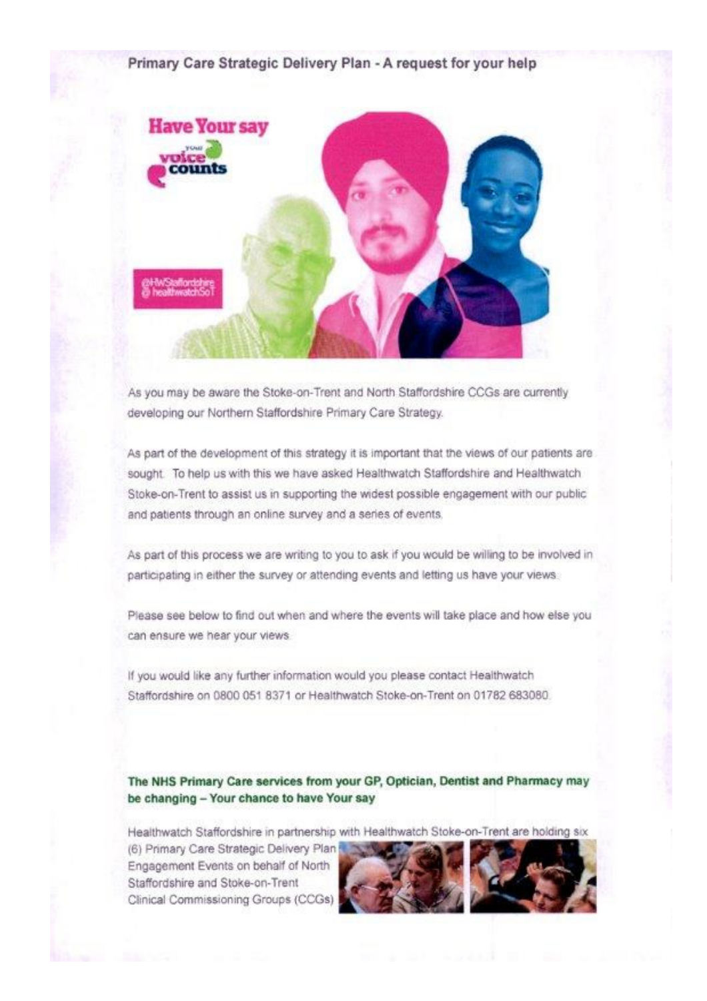## Primary Care Strategic Delivery Plan - A request for your help



As you may be aware the Stoke-on-Trent and North Staffordshire CCGs are currently developing our Northern Staffordshire Primary Care Strategy.

As part of the development of this strategy it is important that the views of our patients are sought. To help us with this we have asked Healthwatch Staffordshire and Healthwatch Stoke-on-Trent to assist us in supporting the widest possible engagement with our public and patients through an online survey and a series of events.

As part of this process we are writing to you to ask if you would be willing to be involved in participating in either the survey or attending events and letting us have your views.

Please see below to find out when and where the events will take place and how else you can ensure we hear your views.

If you would like any further information would you please contact Healthwatch Staffordshire on 0800 051 8371 or Healthwatch Stoke-on-Trent on 01782 683080.

### The NHS Primary Care services from your GP, Optician, Dentist and Pharmacy may be changing - Your chance to have Your say

Healthwatch Staffordshire in partnership with Healthwatch Stoke-on-Trent are holding six

(6) Primary Care Strategic Delivery Plan Engagement Events on behalf of North Staffordshire and Stoke-on-Trent Clinical Commissioning Groups (CCGs)